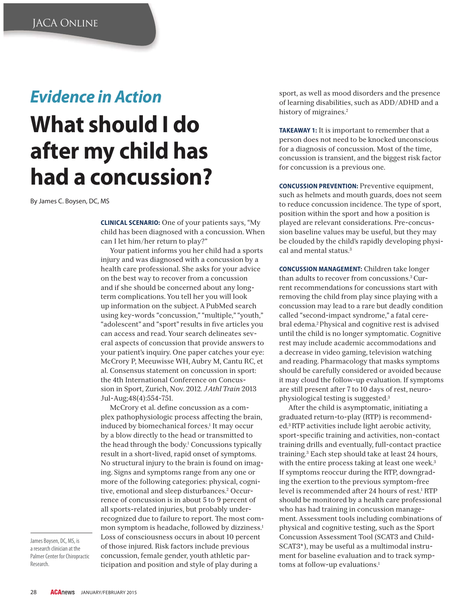## *Evidence in Action*

## **What should I do after my child has had a concussion?**

By James C. Boysen, DC, MS

**CLINICAL SCENARIO:** One of your patients says, "My child has been diagnosed with a concussion. When can I let him/her return to play?"

Your patient informs you her child had a sports injury and was diagnosed with a concussion by a health care professional. She asks for your advice on the best way to recover from a concussion and if she should be concerned about any longterm complications. You tell her you will look up information on the subject. A PubMed search using key-words "concussion," "multiple," "youth," "adolescent" and "sport" results in five articles you can access and read. Your search delineates several aspects of concussion that provide answers to your patient's inquiry. One paper catches your eye: McCrory P, Meeuwisse WH, Aubry M, Cantu RC, et al. Consensus statement on concussion in sport: the 4th International Conference on Concussion in Sport, Zurich, Nov. 2012. *J Athl Train* 2013 Jul-Aug;48(4):554-751.

McCrory et al. define concussion as a complex pathophysiologic process affecting the brain, induced by biomechanical forces.1 It may occur by a blow directly to the head or transmitted to the head through the body.<sup>1</sup> Concussions typically result in a short-lived, rapid onset of symptoms. No structural injury to the brain is found on imaging. Signs and symptoms range from any one or more of the following categories: physical, cognitive, emotional and sleep disturbances.2 Occurrence of concussion is in about 5 to 9 percent of all sports-related injuries, but probably underrecognized due to failure to report. The most common symptom is headache, followed by dizziness.<sup>1</sup> Loss of consciousness occurs in about 10 percent of those injured. Risk factors include previous concussion, female gender, youth athletic participation and position and style of play during a

James Boysen, DC, MS, is a research clinician at the Palmer Center for Chiropractic Research.

sport, as well as mood disorders and the presence of learning disabilities, such as ADD/ADHD and a history of migraines.<sup>2</sup>

**TAKEAWAY 1:** It is important to remember that a person does not need to be knocked unconscious for a diagnosis of concussion. Most of the time, concussion is transient, and the biggest risk factor for concussion is a previous one.

**CONCUSSION PREVENTION:** Preventive equipment, such as helmets and mouth guards, does not seem to reduce concussion incidence. The type of sport, position within the sport and how a position is played are relevant considerations. Pre-concussion baseline values may be useful, but they may be clouded by the child's rapidly developing physical and mental status.<sup>3</sup>

**CONCUSSION MANAGEMENT:** Children take longer than adults to recover from concussions.3 Current recommendations for concussions start with removing the child from play since playing with a concussion may lead to a rare but deadly condition called "second-impact syndrome," a fatal cerebral edema.2 Physical and cognitive rest is advised until the child is no longer symptomatic. Cognitive rest may include academic accommodations and a decrease in video gaming, television watching and reading. Pharmacology that masks symptoms should be carefully considered or avoided because it may cloud the follow-up evaluation. If symptoms are still present after 7 to 10 days of rest, neurophysiological testing is suggested.3

After the child is asymptomatic, initiating a graduated return-to-play (RTP) is recommended.3 RTP activities include light aerobic activity, sport-specific training and activities, non-contact training drills and eventually, full-contact practice training.3 Each step should take at least 24 hours, with the entire process taking at least one week.<sup>3</sup> If symptoms reoccur during the RTP, downgrading the exertion to the previous symptom-free level is recommended after 24 hours of rest.1 RTP should be monitored by a health care professional who has had training in concussion management. Assessment tools including combinations of physical and cognitive testing, such as the Sport Concussion Assessment Tool (SCAT3 and Child-SCAT3\*), may be useful as a multimodal instrument for baseline evaluation and to track symptoms at follow-up evaluations.<sup>1</sup>